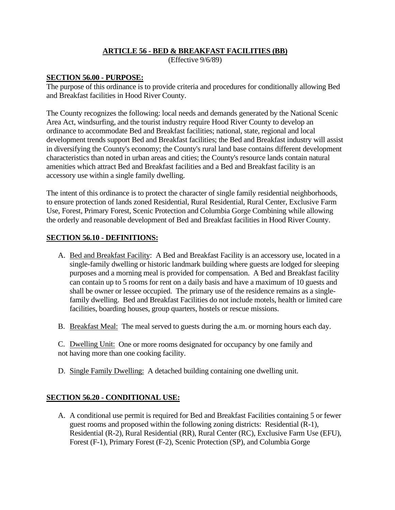## **ARTICLE 56 - BED & BREAKFAST FACILITIES (BB)**

(Effective 9/6/89)

#### **SECTION 56.00 - PURPOSE:**

The purpose of this ordinance is to provide criteria and procedures for conditionally allowing Bed and Breakfast facilities in Hood River County.

The County recognizes the following: local needs and demands generated by the National Scenic Area Act, windsurfing, and the tourist industry require Hood River County to develop an ordinance to accommodate Bed and Breakfast facilities; national, state, regional and local development trends support Bed and Breakfast facilities; the Bed and Breakfast industry will assist in diversifying the County's economy; the County's rural land base contains different development characteristics than noted in urban areas and cities; the County's resource lands contain natural amenities which attract Bed and Breakfast facilities and a Bed and Breakfast facility is an accessory use within a single family dwelling.

The intent of this ordinance is to protect the character of single family residential neighborhoods, to ensure protection of lands zoned Residential, Rural Residential, Rural Center, Exclusive Farm Use, Forest, Primary Forest, Scenic Protection and Columbia Gorge Combining while allowing the orderly and reasonable development of Bed and Breakfast facilities in Hood River County.

## **SECTION 56.10 - DEFINITIONS:**

- A. Bed and Breakfast Facility: A Bed and Breakfast Facility is an accessory use, located in a single-family dwelling or historic landmark building where guests are lodged for sleeping purposes and a morning meal is provided for compensation. A Bed and Breakfast facility can contain up to 5 rooms for rent on a daily basis and have a maximum of 10 guests and shall be owner or lessee occupied. The primary use of the residence remains as a singlefamily dwelling. Bed and Breakfast Facilities do not include motels, health or limited care facilities, boarding houses, group quarters, hostels or rescue missions.
- B. Breakfast Meal: The meal served to guests during the a.m. or morning hours each day.

C. Dwelling Unit: One or more rooms designated for occupancy by one family and not having more than one cooking facility.

D. Single Family Dwelling: A detached building containing one dwelling unit.

## **SECTION 56.20 - CONDITIONAL USE:**

A. A conditional use permit is required for Bed and Breakfast Facilities containing 5 or fewer guest rooms and proposed within the following zoning districts: Residential (R-1), Residential (R-2), Rural Residential (RR), Rural Center (RC), Exclusive Farm Use (EFU), Forest (F-1), Primary Forest (F-2), Scenic Protection (SP), and Columbia Gorge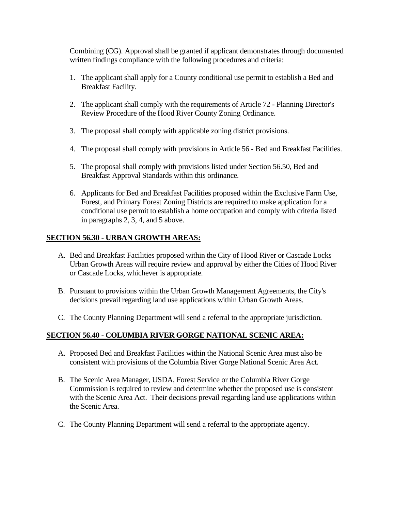Combining (CG). Approval shall be granted if applicant demonstrates through documented written findings compliance with the following procedures and criteria:

- 1. The applicant shall apply for a County conditional use permit to establish a Bed and Breakfast Facility.
- 2. The applicant shall comply with the requirements of Article 72 Planning Director's Review Procedure of the Hood River County Zoning Ordinance.
- 3. The proposal shall comply with applicable zoning district provisions.
- 4. The proposal shall comply with provisions in Article 56 Bed and Breakfast Facilities.
- 5. The proposal shall comply with provisions listed under Section 56.50, Bed and Breakfast Approval Standards within this ordinance.
- 6. Applicants for Bed and Breakfast Facilities proposed within the Exclusive Farm Use, Forest, and Primary Forest Zoning Districts are required to make application for a conditional use permit to establish a home occupation and comply with criteria listed in paragraphs 2, 3, 4, and 5 above.

## **SECTION 56.30 - URBAN GROWTH AREAS:**

- A. Bed and Breakfast Facilities proposed within the City of Hood River or Cascade Locks Urban Growth Areas will require review and approval by either the Cities of Hood River or Cascade Locks, whichever is appropriate.
- B. Pursuant to provisions within the Urban Growth Management Agreements, the City's decisions prevail regarding land use applications within Urban Growth Areas.
- C. The County Planning Department will send a referral to the appropriate jurisdiction.

## **SECTION 56.40 - COLUMBIA RIVER GORGE NATIONAL SCENIC AREA:**

- A. Proposed Bed and Breakfast Facilities within the National Scenic Area must also be consistent with provisions of the Columbia River Gorge National Scenic Area Act.
- B. The Scenic Area Manager, USDA, Forest Service or the Columbia River Gorge Commission is required to review and determine whether the proposed use is consistent with the Scenic Area Act. Their decisions prevail regarding land use applications within the Scenic Area.
- C. The County Planning Department will send a referral to the appropriate agency.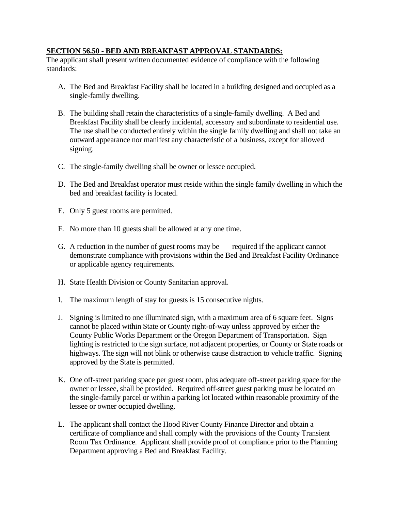#### **SECTION 56.50 - BED AND BREAKFAST APPROVAL STANDARDS:**

The applicant shall present written documented evidence of compliance with the following standards:

- A. The Bed and Breakfast Facility shall be located in a building designed and occupied as a single-family dwelling.
- B. The building shall retain the characteristics of a single-family dwelling. A Bed and Breakfast Facility shall be clearly incidental, accessory and subordinate to residential use. The use shall be conducted entirely within the single family dwelling and shall not take an outward appearance nor manifest any characteristic of a business, except for allowed signing.
- C. The single-family dwelling shall be owner or lessee occupied.
- D. The Bed and Breakfast operator must reside within the single family dwelling in which the bed and breakfast facility is located.
- E. Only 5 guest rooms are permitted.
- F. No more than 10 guests shall be allowed at any one time.
- G. A reduction in the number of guest rooms may be required if the applicant cannot demonstrate compliance with provisions within the Bed and Breakfast Facility Ordinance or applicable agency requirements.
- H. State Health Division or County Sanitarian approval.
- I. The maximum length of stay for guests is 15 consecutive nights.
- J. Signing is limited to one illuminated sign, with a maximum area of 6 square feet. Signs cannot be placed within State or County right-of-way unless approved by either the County Public Works Department or the Oregon Department of Transportation. Sign lighting is restricted to the sign surface, not adjacent properties, or County or State roads or highways. The sign will not blink or otherwise cause distraction to vehicle traffic. Signing approved by the State is permitted.
- K. One off-street parking space per guest room, plus adequate off-street parking space for the owner or lessee, shall be provided. Required off-street guest parking must be located on the single-family parcel or within a parking lot located within reasonable proximity of the lessee or owner occupied dwelling.
- L. The applicant shall contact the Hood River County Finance Director and obtain a certificate of compliance and shall comply with the provisions of the County Transient Room Tax Ordinance. Applicant shall provide proof of compliance prior to the Planning Department approving a Bed and Breakfast Facility.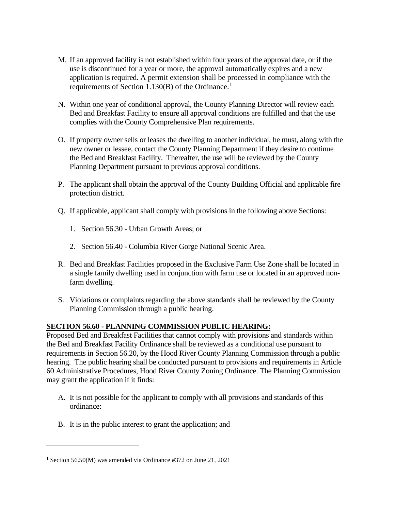- M. If an approved facility is not established within four years of the approval date, or if the use is discontinued for a year or more, the approval automatically expires and a new application is required. A permit extension shall be processed in compliance with the requirements of Section [1](#page-3-0).130 $(B)$  of the Ordinance.<sup>1</sup>
- N. Within one year of conditional approval, the County Planning Director will review each Bed and Breakfast Facility to ensure all approval conditions are fulfilled and that the use complies with the County Comprehensive Plan requirements.
- O. If property owner sells or leases the dwelling to another individual, he must, along with the new owner or lessee, contact the County Planning Department if they desire to continue the Bed and Breakfast Facility. Thereafter, the use will be reviewed by the County Planning Department pursuant to previous approval conditions.
- P. The applicant shall obtain the approval of the County Building Official and applicable fire protection district.
- Q. If applicable, applicant shall comply with provisions in the following above Sections:
	- 1. Section 56.30 Urban Growth Areas; or
	- 2. Section 56.40 Columbia River Gorge National Scenic Area.
- R. Bed and Breakfast Facilities proposed in the Exclusive Farm Use Zone shall be located in a single family dwelling used in conjunction with farm use or located in an approved nonfarm dwelling.
- S. Violations or complaints regarding the above standards shall be reviewed by the County Planning Commission through a public hearing.

# **SECTION 56.60 - PLANNING COMMISSION PUBLIC HEARING:**

Proposed Bed and Breakfast Facilities that cannot comply with provisions and standards within the Bed and Breakfast Facility Ordinance shall be reviewed as a conditional use pursuant to requirements in Section 56.20, by the Hood River County Planning Commission through a public hearing. The public hearing shall be conducted pursuant to provisions and requirements in Article 60 Administrative Procedures, Hood River County Zoning Ordinance. The Planning Commission may grant the application if it finds:

- A. It is not possible for the applicant to comply with all provisions and standards of this ordinance:
- B. It is in the public interest to grant the application; and

<span id="page-3-0"></span><sup>&</sup>lt;sup>1</sup> Section 56.50(M) was amended via Ordinance  $#372$  on June 21, 2021